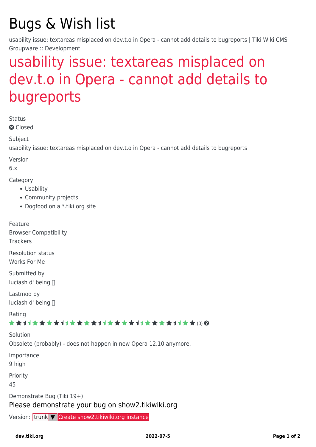# Bugs & Wish list

usability issue: textareas misplaced on dev.t.o in Opera - cannot add details to bugreports | Tiki Wiki CMS Groupware :: Development

## [usability issue: textareas misplaced on](https://dev.tiki.org/item3704-usability-issue-textareas-misplaced-on-dev-t-o-in-Opera-cannot-add-details-to-bugreports) [dev.t.o in Opera - cannot add details to](https://dev.tiki.org/item3704-usability-issue-textareas-misplaced-on-dev-t-o-in-Opera-cannot-add-details-to-bugreports) [bugreports](https://dev.tiki.org/item3704-usability-issue-textareas-misplaced-on-dev-t-o-in-Opera-cannot-add-details-to-bugreports)

Status

**Q** Closed

**Subject** 

usability issue: textareas misplaced on dev.t.o in Opera - cannot add details to bugreports

Version

6.x

Category

- Usability
- Community projects
- Dogfood on a \*.tiki.org site

Feature Browser Compatibility **Trackers** 

Resolution status Works For Me

Submitted by luciash d' being

Lastmod by luciash d' being

Rating

\*\*\*\*\*\*\*\*\*\*\*\*\*\*\*\*\*\*\*\*\*\*\*\*\*\*\*\*\*\*

Solution Obsolete (probably) - does not happen in new Opera 12.10 anymore.

Importance

9 high

Priority

45

Demonstrate Bug (Tiki 19+)

#### Please demonstrate your bug on show2.tikiwiki.org

Version: trunk ▼ [Create show2.tikiwiki.org instance](#page--1-0)